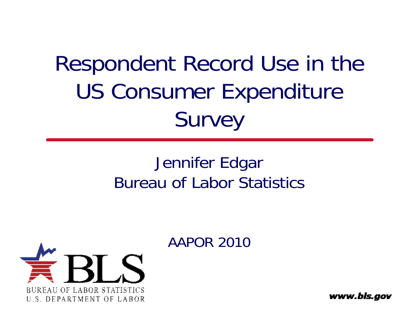#### Respondent Record Use in the US Consumer Ex penditure **Survey**

#### Jennifer Edgar Bureau of Labor Statistics





www.bls.gov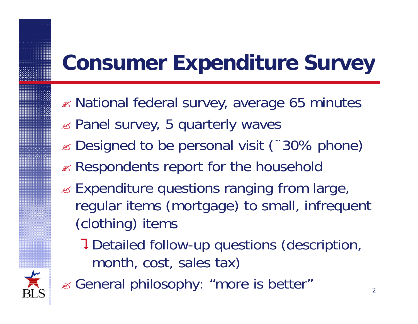#### **Consumer Expenditure Survey**

- $\mathbb Z$  National federal survey, average 65 minutes
- $\mathbb Z$  Panel survey, 5 quarterly waves
- $\le$  **Designed to be personal visit (~30% phone)**
- Respondents report for the household
- $\mathbb Z$  Expenditure questions ranging from large, regular items (mortgage) to small, infrequent (clothing) items
	- Detailed follow-up questions (description, month, cost, sales tax)



General philosophy: "more is better"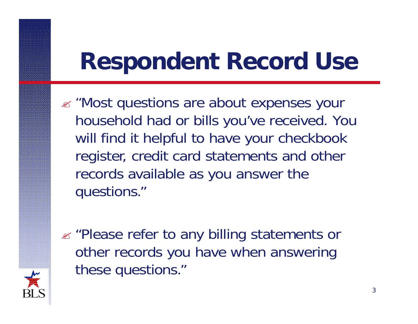## **Respondent Record Use Use**

- $\mathbb{Z}$  "Most questions are about expenses your household had or bills you've received. You will find it helpful to have your checkbook register, credit card statements and other records available as you answer the questions."
- "Please refer to any billing statements or other records you have when answering these questions."

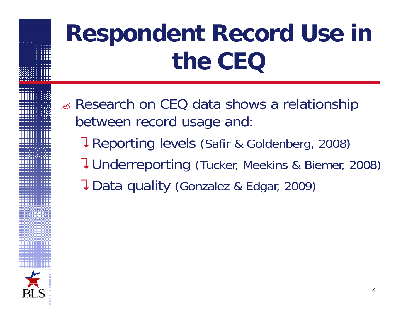# **Respondent Record Use in the CEQ**

- $\mathbb Z$  Research on CEQ data shows a relationship between record usage and:
	- **7 Reporting levels (Safir & Goldenberg, 2008)**
	- Underreporting (Tucker, Meekins & Biemer, 2008)
	- **7** Data quality (Gonzalez & Edgar, 2009)

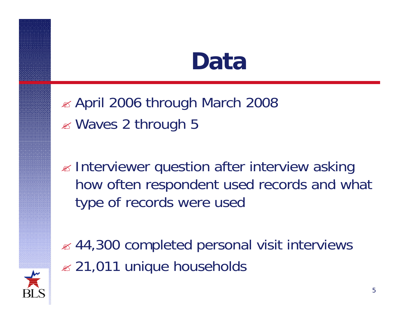#### **Data**

 $\approx$  April 2006 through March 2008 Waves 2 through 5

 $\mathscr{\mathscr{A}}$  Interviewer question after interview asking how often respondent used records and what type of records were used



 $\approx$  44,300 completed personal visit interviews  $\approx$  21,011 unique households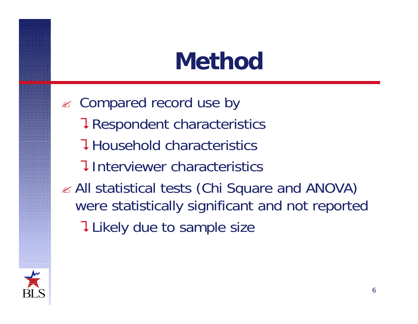### **Method**

**EX** Compared record use by **7 Respondent characteristics Household characteristics** Interviewer characteristics $\mathbb Z$  All statistical tests (Chi Square and ANOVA) were statistically significant and not reported **T** Likely due to sample size

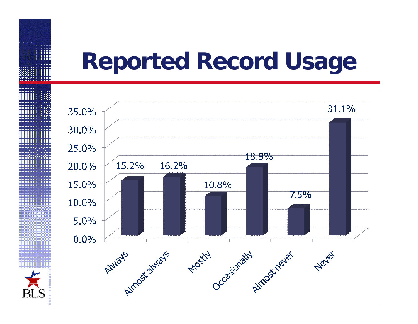#### **Reported Record Usage Usage**



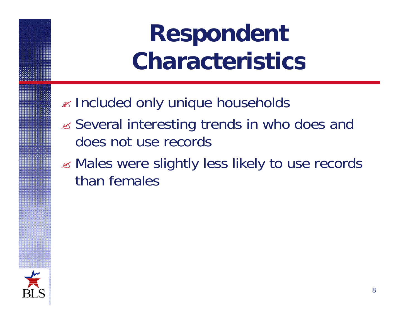## **Respondent Characteristics**

- Included only unique households
- Several interesting trends in who does and does not use records
- Males were slightly less likely to use records than females

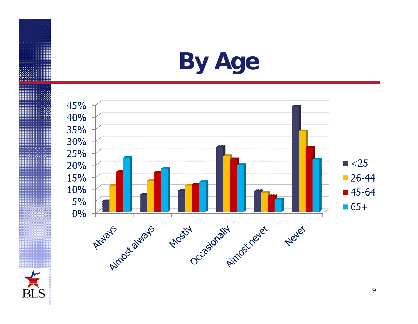### **By Age**

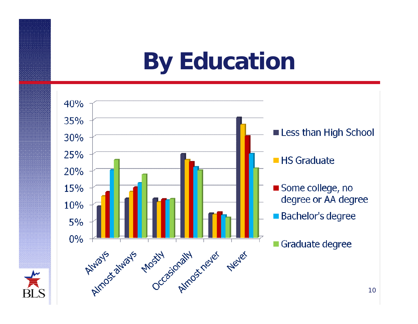### **By Education**

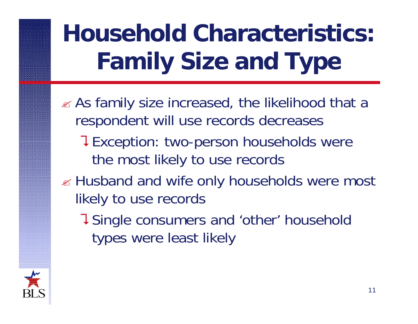# **Household Characteristics: Family Size and Type**

- $\mathscr{A}$  As family size increased, the likelihood that a respondent will use records decreases
	- **TException: two-person households were** the most likely to use records
- $\mathbb Z$  Husband and wife only households were most likely to use records
	- Single consumers and 'other' household types were least likely

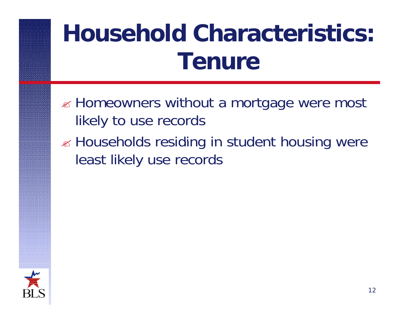# **Household Characteristics: Tenure**

- $\mathbb Z$  Homeowners without a mortgage were most likely to use records
- $\mathbb Z$  Households residing in student housing were least likely use records

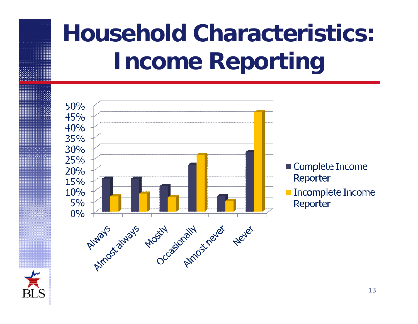# **Household Characteristics: Income Reporting**



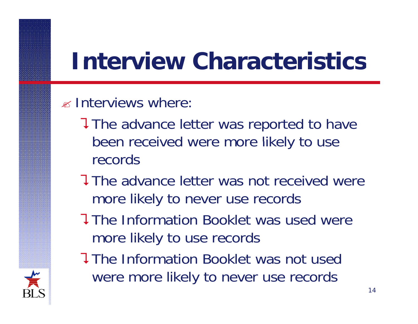## **Interview Characteristics**

#### $\mathscr{A}$  Interviews where:

- The advance letter was reported to have been received were more likely to use records
- **The advance letter was not received were** more likely to never use records
- **The Information Booklet was used were** more likely to use records
- **The Information Booklet was not used**  were more likely to never use records

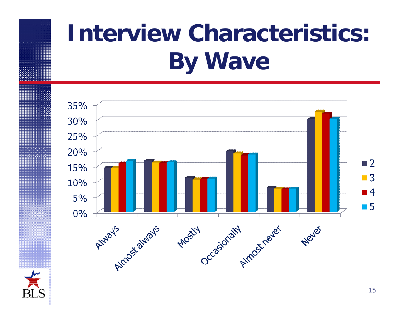# **Interview Characteristics: By Wave**



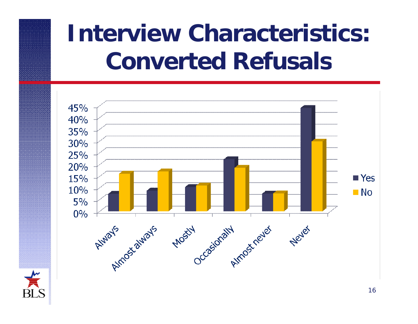## **Interview Characteristics: Converted Refusals**



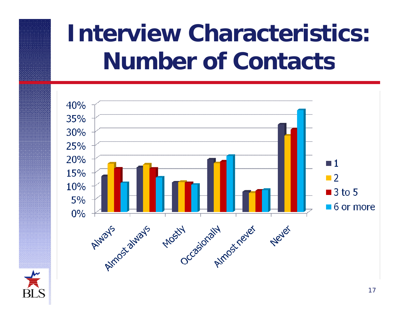## **Interview Characteristics: Number of Contacts**



 $\frac{1}{\sqrt{2}}$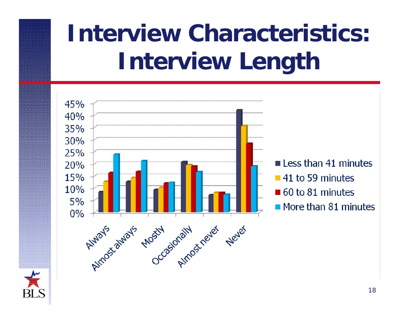# **Interview Characteristics: Interview Length**



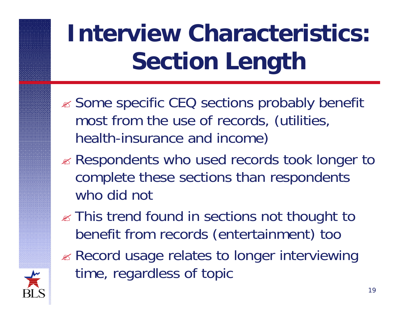# **Interview Characteristics: Section Length**

- **Some specific CEQ sections probably benefit** most from the use of records, (utilities, health-insurance and income)
- Respondents who used records took longer to complete these sections than respondents who did not
- $\mathbb Z$  This trend found in sections not thought to benefit from records (entertainment) too
- **Example 20 Record usage relates to longer interviewing** time, re gardless of topic

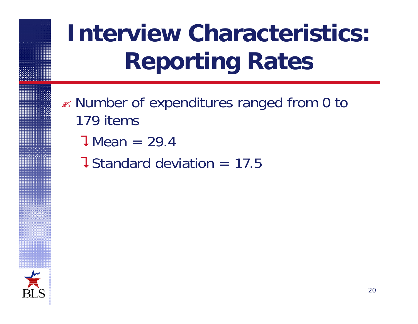# **Interview Characteristics: Reporting Rates**

- $\mathbb Z$  Number of expenditures ranged from 0 to 179 items
	- $J$  Mean = 29.4
	- **J** Standard deviation  $= 17.5$

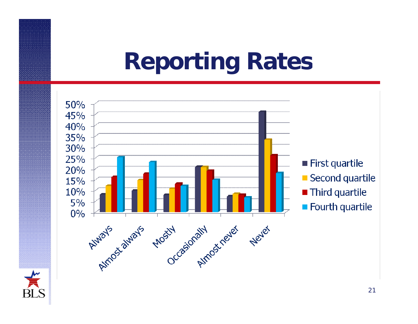### **Reporting Rates**



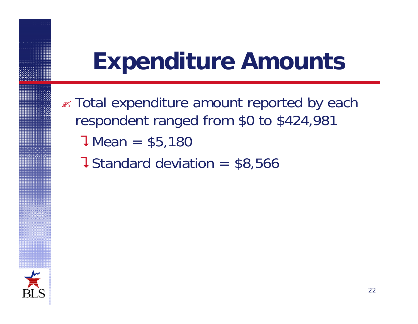### **Expenditure Amounts Expenditure**

- **Exall expenditure amount reported by each** respondent ranged from \$0 to \$424,981  $J$  Mean = \$5,180
	- **J** Standard deviation  $=$  \$8,566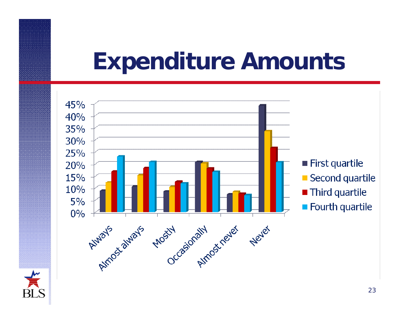#### **Expenditure Amounts Expenditure**



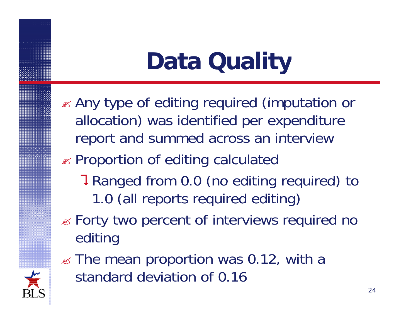# **Data Quality**

- Any type of editing required (imputation or allocation) was identified per expenditure report and summed across an interview
- Proportion of editing calculated
	- **T** Ranged from 0.0 (no editing required) to 1.0 (all reports required editing)
- $\mathscr{\mathscr{E}}$  Forty two percent of interviews required no editing
- $\mathscr{\mathscr{D}}$  The mean proportion was 0.12, with a standard deviation of 0.16

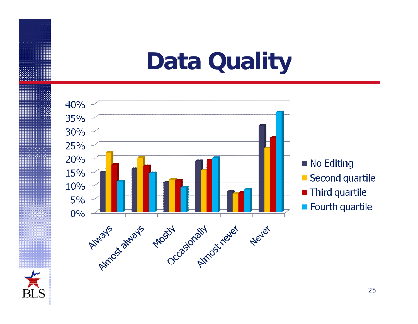#### **Data Quality**



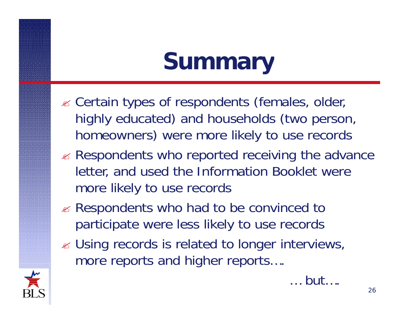## **Summary**

- $\mathscr{A}$  Certain types of respondents (females, older, highly educated) and households (two person, homeowners) were more likely to use records
- $\mathbb Z$  Respondents who reported receiving the advance letter, and used the Information Booklet were more likely to use records
- $\mathscr{A}$  Respondents who had to be convinced to participate were less likely to use records
- $\mathscr{\mathscr{E}}$  Using records is related to longer interviews, more reports and higher reports….



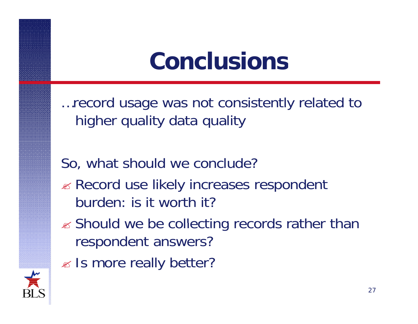## **Conclusions**

... record usage was not consistently related to higher quality data quality

So, what should we conclude?

- $\mathbb Z$  Record use likely increases respondent burden: is it worth it?
- $\mathscr{A}$  Should we be collecting records rather than respondent answers?
- $\mathbb Z$  Is more really better?

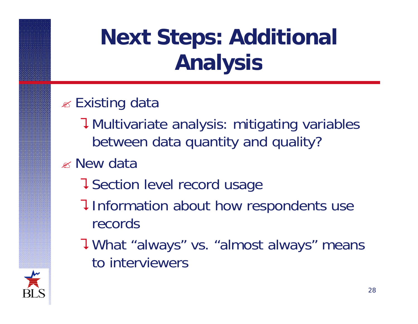### **Next Steps: Additional Analysis**

#### $\mathscr{\mathscr{Q}}$  Existing data

- Multivariate analysis: mitigating variables between data quantity and quality?
- New data
	- **J** Section level record usage
	- **I** Information about how respondents use records
	- What "always" vs. "almost always" means to interviewers